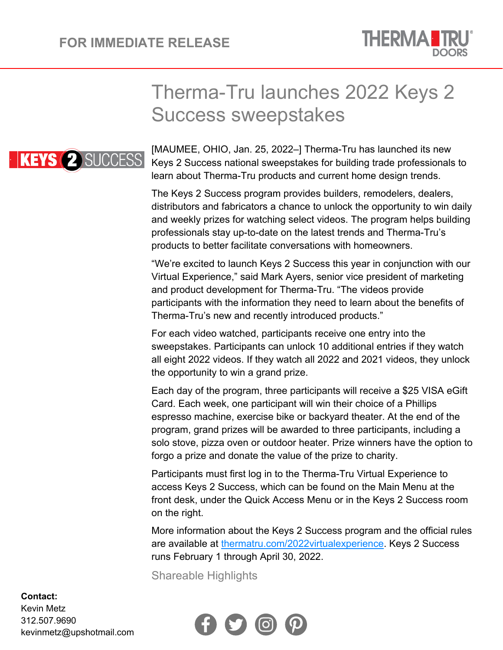

## Therma-Tru launches 2022 Keys 2 Success sweepstakes



[MAUMEE, OHIO, Jan. 25, 2022–] Therma-Tru has launched its new Keys 2 Success national sweepstakes for building trade professionals to learn about Therma-Tru products and current home design trends.

The Keys 2 Success program provides builders, remodelers, dealers, distributors and fabricators a chance to unlock the opportunity to win daily and weekly prizes for watching select videos. The program helps building professionals stay up-to-date on the latest trends and Therma-Tru's products to better facilitate conversations with homeowners.

"We're excited to launch Keys 2 Success this year in conjunction with our Virtual Experience," said Mark Ayers, senior vice president of marketing and product development for Therma-Tru. "The videos provide participants with the information they need to learn about the benefits of Therma-Tru's new and recently introduced products."

For each video watched, participants receive one entry into the sweepstakes. Participants can unlock 10 additional entries if they watch all eight 2022 videos. If they watch all 2022 and 2021 videos, they unlock the opportunity to win a grand prize.

Each day of the program, three participants will receive a \$25 VISA eGift Card. Each week, one participant will win their choice of a Phillips espresso machine, exercise bike or backyard theater. At the end of the program, grand prizes will be awarded to three participants, including a solo stove, pizza oven or outdoor heater. Prize winners have the option to forgo a prize and donate the value of the prize to charity.

Participants must first log in to the Therma-Tru Virtual Experience to access Keys 2 Success, which can be found on the Main Menu at the front desk, under the Quick Access Menu or in the Keys 2 Success room on the right.

More information about the Keys 2 Success program and the official rules are available at [thermatru.com/2022virtualexperience.](https://www.thermatru.com/2022virtualexperience) Keys 2 Success runs February 1 through April 30, 2022.

Shareable Highlights



## **Contact:**

Kevin Metz 312.507.9690 kevinmetz@upshotmail.com